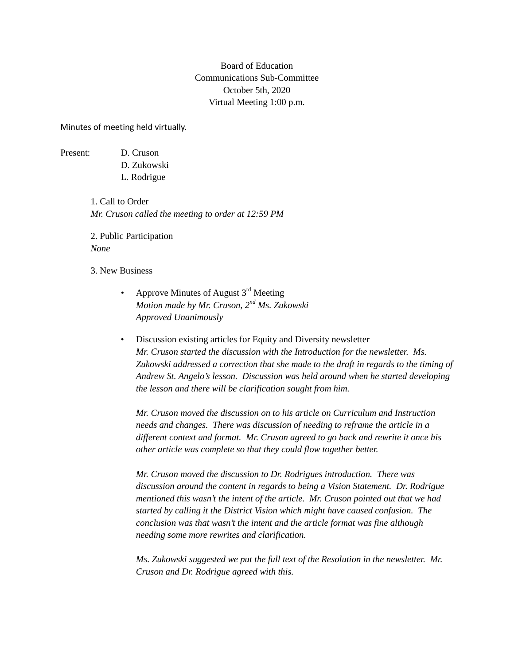## Board of Education Communications Sub-Committee October 5th, 2020 Virtual Meeting 1:00 p.m.

Minutes of meeting held virtually.

Present: D. Cruson

D. Zukowski

L. Rodrigue

1. Call to Order *Mr. Cruson called the meeting to order at 12:59 PM*

2. Public Participation *None*

3. New Business

- Approve Minutes of August  $3<sup>rd</sup>$  Meeting *Motion made by Mr. Cruson, 2nd Ms. Zukowski Approved Unanimously*
- Discussion existing articles for Equity and Diversity newsletter *Mr. Cruson started the discussion with the Introduction for the newsletter. Ms. Zukowski addressed a correction that she made to the draft in regards to the timing of Andrew St. Angelo's lesson. Discussion was held around when he started developing the lesson and there will be clarification sought from him.*

*Mr. Cruson moved the discussion on to his article on Curriculum and Instruction needs and changes. There was discussion of needing to reframe the article in a different context and format. Mr. Cruson agreed to go back and rewrite it once his other article was complete so that they could flow together better.*

*Mr. Cruson moved the discussion to Dr. Rodrigues introduction. There was discussion around the content in regards to being a Vision Statement. Dr. Rodrigue mentioned this wasn't the intent of the article. Mr. Cruson pointed out that we had started by calling it the District Vision which might have caused confusion. The conclusion was that wasn't the intent and the article format was fine although needing some more rewrites and clarification.*

*Ms. Zukowski suggested we put the full text of the Resolution in the newsletter. Mr. Cruson and Dr. Rodrigue agreed with this.*